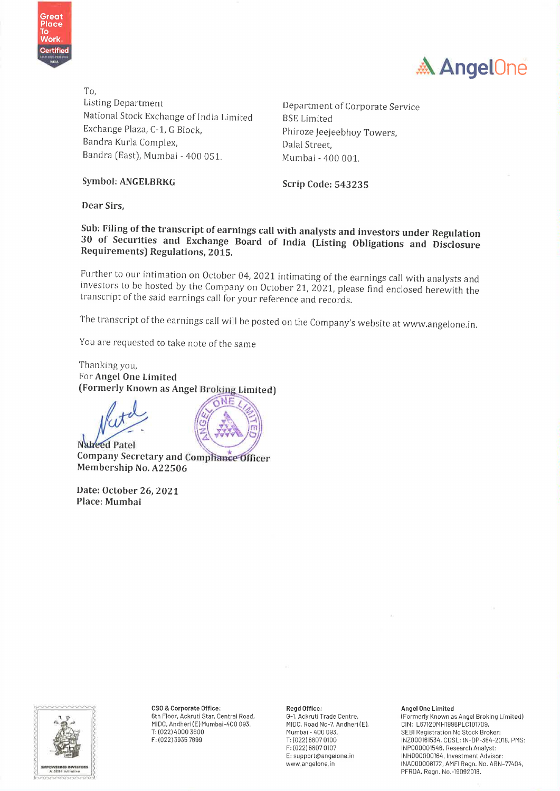



To, Listing Department<br>National Stock Exchange of India Limited BSE Limited BSE Limited Exchange Plaza, C-1, G Block, Phiroze Jeejeebhoy Towers, Bandra Kurla Complex, **Exercise Sensitive Contract** Dalal Street. Bandra (East), Mumbai - 400 051, Mumbai - 400 001.

Symbol: ANGELBRKG Scrip Code: 543235

Dear Sirs,

Sub: Filing of the transcript of earnings call with analysts and investors under Regulation 30 of Securities and Exchange Board of India (Listing Obligations and Disclosure Requirements) Regulations, 2015.

Further to our intimation on October 04, 2021 intimating of the earnings call with analysts and investors to be hosted by the Company on October 21, 2021, please find enclosed herewith the transcript of the said earnings c

The transcript of the earnings call will be posted on the Company's website at www.angelone.in.

You are requested to take note of the same

Thanking you, For Angel One Limited (Formerly Known as Angel Broking Limited)



Nableved Patel<br>Company Secretary and Compliance Officer Membership No. A22506

Date: October 26, 2021 Place: Mumbai



CSO & Corporate Office: The Read Office: Angel One Limited and Angel One Limited MIDC, Andheri(E) Mumbai-400 093. MIDC, Road No-7, Andheri(E), CIN: L67120MH1996PLC101709,<br>T: (022) 4000 3600 Mumbai-400 093. Mumbai-400 093. SEBI Registration No Stock Bro

6th Floor, Ackruti Star, Central Road, G-1, Ackruti Trade Centre, (Formerly Known as Angel Broking Limited)<br>MIDC, Andheri (E) Mumbai-400 093. MIDC, Road No-7, Andheri (E), CIN: L67120MH1996PLC101709, é T: (022) 4000 3600 Mumbai - 400 093 SEBI Registration No Stock Broker: F:(022)3935 7699 T: (022) 6807 0100 INZ000161534, CDSL: IN-DP-384-2018, PMS: F: (022) 6807 0107 INPOOO001546, Research Analyst: E: support@angelone.in INH000000164, Investment Advisor: ii www.angelone.in (NAGOGO08172, AMFI Regn. No. ARN-77404, | amrowemna wevesrons. |' ASEM Initiative i PFRDA, Regn. No.-19092018.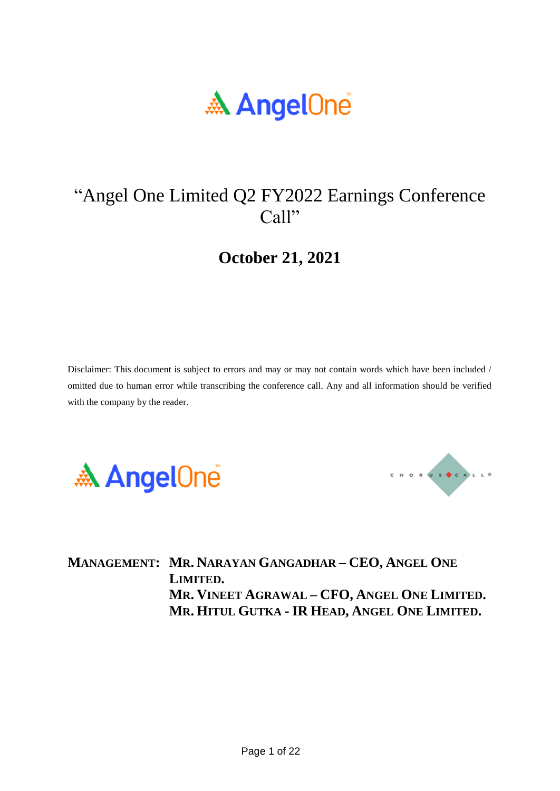

# "Angel One Limited Q2 FY2022 Earnings Conference Call"

## **October 21, 2021**

Disclaimer: This document is subject to errors and may or may not contain words which have been included / omitted due to human error while transcribing the conference call. Any and all information should be verified with the company by the reader.





**MANAGEMENT: MR. NARAYAN GANGADHAR – CEO, ANGEL ONE LIMITED. MR. VINEET AGRAWAL – CFO, ANGEL ONE LIMITED. MR. HITUL GUTKA - IR HEAD, ANGEL ONE LIMITED.**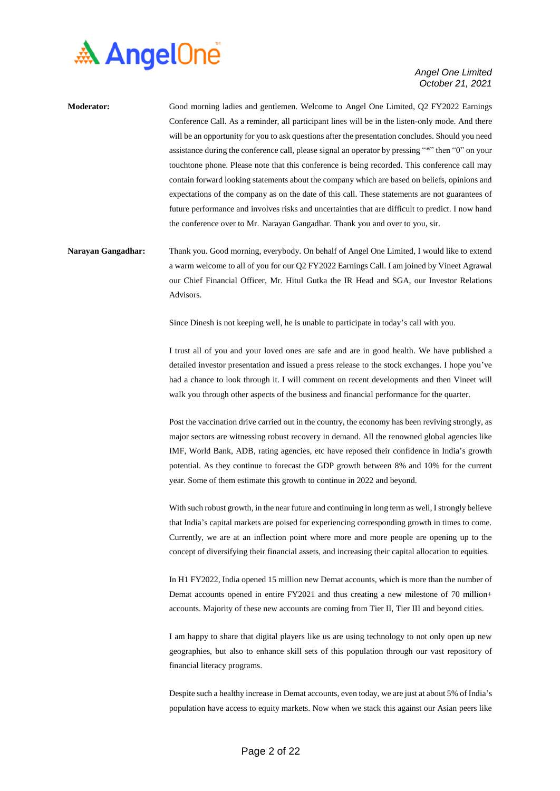

| <b>Moderator:</b> | Good morning ladies and gentlemen. Welcome to Angel One Limited, Q2 FY2022 Earnings               |
|-------------------|---------------------------------------------------------------------------------------------------|
|                   | Conference Call. As a reminder, all participant lines will be in the listen-only mode. And there  |
|                   | will be an opportunity for you to ask questions after the presentation concludes. Should you need |
|                   | assistance during the conference call, please signal an operator by pressing "*" then "0" on your |
|                   | touchtone phone. Please note that this conference is being recorded. This conference call may     |
|                   | contain forward looking statements about the company which are based on beliefs, opinions and     |
|                   | expectations of the company as on the date of this call. These statements are not guarantees of   |
|                   | future performance and involves risks and uncertainties that are difficult to predict. I now hand |
|                   | the conference over to Mr. Narayan Gangadhar. Thank you and over to you, sir.                     |
|                   |                                                                                                   |

**Narayan Gangadhar:** Thank you. Good morning, everybody. On behalf of Angel One Limited, I would like to extend a warm welcome to all of you for our Q2 FY2022 Earnings Call. I am joined by Vineet Agrawal our Chief Financial Officer, Mr. Hitul Gutka the IR Head and SGA, our Investor Relations Advisors.

Since Dinesh is not keeping well, he is unable to participate in today's call with you.

I trust all of you and your loved ones are safe and are in good health. We have published a detailed investor presentation and issued a press release to the stock exchanges. I hope you've had a chance to look through it. I will comment on recent developments and then Vineet will walk you through other aspects of the business and financial performance for the quarter.

Post the vaccination drive carried out in the country, the economy has been reviving strongly, as major sectors are witnessing robust recovery in demand. All the renowned global agencies like IMF, World Bank, ADB, rating agencies, etc have reposed their confidence in India's growth potential. As they continue to forecast the GDP growth between 8% and 10% for the current year. Some of them estimate this growth to continue in 2022 and beyond.

With such robust growth, in the near future and continuing in long term as well, I strongly believe that India's capital markets are poised for experiencing corresponding growth in times to come. Currently, we are at an inflection point where more and more people are opening up to the concept of diversifying their financial assets, and increasing their capital allocation to equities.

In H1 FY2022, India opened 15 million new Demat accounts, which is more than the number of Demat accounts opened in entire FY2021 and thus creating a new milestone of 70 million+ accounts. Majority of these new accounts are coming from Tier II, Tier III and beyond cities.

I am happy to share that digital players like us are using technology to not only open up new geographies, but also to enhance skill sets of this population through our vast repository of financial literacy programs.

Despite such a healthy increase in Demat accounts, even today, we are just at about 5% of India's population have access to equity markets. Now when we stack this against our Asian peers like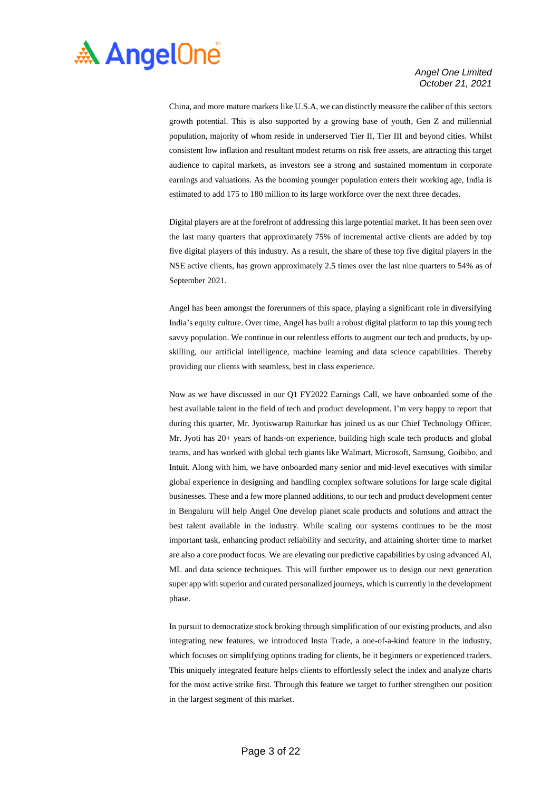

China, and more mature markets like U.S.A, we can distinctly measure the caliber of this sectors growth potential. This is also supported by a growing base of youth, Gen Z and millennial population, majority of whom reside in underserved Tier II, Tier III and beyond cities. Whilst consistent low inflation and resultant modest returns on risk free assets, are attracting this target audience to capital markets, as investors see a strong and sustained momentum in corporate earnings and valuations. As the booming younger population enters their working age, India is estimated to add 175 to 180 million to its large workforce over the next three decades.

Digital players are at the forefront of addressing this large potential market. It has been seen over the last many quarters that approximately 75% of incremental active clients are added by top five digital players of this industry. As a result, the share of these top five digital players in the NSE active clients, has grown approximately 2.5 times over the last nine quarters to 54% as of September 2021.

Angel has been amongst the forerunners of this space, playing a significant role in diversifying India's equity culture. Over time, Angel has built a robust digital platform to tap this young tech savvy population. We continue in our relentless efforts to augment our tech and products, by upskilling, our artificial intelligence, machine learning and data science capabilities. Thereby providing our clients with seamless, best in class experience.

Now as we have discussed in our Q1 FY2022 Earnings Call, we have onboarded some of the best available talent in the field of tech and product development. I'm very happy to report that during this quarter, Mr. Jyotiswarup Raiturkar has joined us as our Chief Technology Officer. Mr. Jyoti has 20+ years of hands-on experience, building high scale tech products and global teams, and has worked with global tech giants like Walmart, Microsoft, Samsung, Goibibo, and Intuit. Along with him, we have onboarded many senior and mid-level executives with similar global experience in designing and handling complex software solutions for large scale digital businesses. These and a few more planned additions, to our tech and product development center in Bengaluru will help Angel One develop planet scale products and solutions and attract the best talent available in the industry. While scaling our systems continues to be the most important task, enhancing product reliability and security, and attaining shorter time to market are also a core product focus. We are elevating our predictive capabilities by using advanced AI, ML and data science techniques. This will further empower us to design our next generation super app with superior and curated personalized journeys, which is currently in the development phase.

In pursuit to democratize stock broking through simplification of our existing products, and also integrating new features, we introduced Insta Trade, a one-of-a-kind feature in the industry, which focuses on simplifying options trading for clients, be it beginners or experienced traders. This uniquely integrated feature helps clients to effortlessly select the index and analyze charts for the most active strike first. Through this feature we target to further strengthen our position in the largest segment of this market.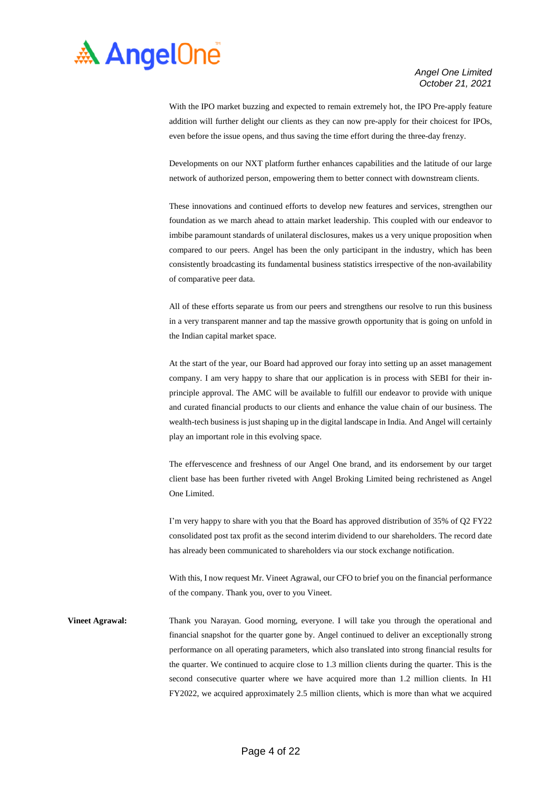

With the IPO market buzzing and expected to remain extremely hot, the IPO Pre-apply feature addition will further delight our clients as they can now pre-apply for their choicest for IPOs, even before the issue opens, and thus saving the time effort during the three-day frenzy.

Developments on our NXT platform further enhances capabilities and the latitude of our large network of authorized person, empowering them to better connect with downstream clients.

These innovations and continued efforts to develop new features and services, strengthen our foundation as we march ahead to attain market leadership. This coupled with our endeavor to imbibe paramount standards of unilateral disclosures, makes us a very unique proposition when compared to our peers. Angel has been the only participant in the industry, which has been consistently broadcasting its fundamental business statistics irrespective of the non-availability of comparative peer data.

All of these efforts separate us from our peers and strengthens our resolve to run this business in a very transparent manner and tap the massive growth opportunity that is going on unfold in the Indian capital market space.

At the start of the year, our Board had approved our foray into setting up an asset management company. I am very happy to share that our application is in process with SEBI for their inprinciple approval. The AMC will be available to fulfill our endeavor to provide with unique and curated financial products to our clients and enhance the value chain of our business. The wealth-tech business is just shaping up in the digital landscape in India. And Angel will certainly play an important role in this evolving space.

The effervescence and freshness of our Angel One brand, and its endorsement by our target client base has been further riveted with Angel Broking Limited being rechristened as Angel One Limited.

I'm very happy to share with you that the Board has approved distribution of 35% of Q2 FY22 consolidated post tax profit as the second interim dividend to our shareholders. The record date has already been communicated to shareholders via our stock exchange notification.

With this, I now request Mr. Vineet Agrawal, our CFO to brief you on the financial performance of the company. Thank you, over to you Vineet.

**Vineet Agrawal:** Thank you Narayan. Good morning, everyone. I will take you through the operational and financial snapshot for the quarter gone by. Angel continued to deliver an exceptionally strong performance on all operating parameters, which also translated into strong financial results for the quarter. We continued to acquire close to 1.3 million clients during the quarter. This is the second consecutive quarter where we have acquired more than 1.2 million clients. In H1 FY2022, we acquired approximately 2.5 million clients, which is more than what we acquired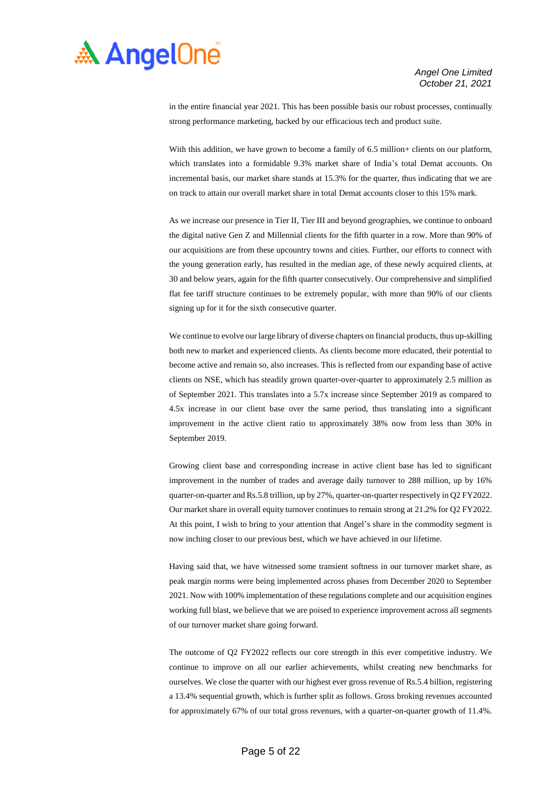

in the entire financial year 2021. This has been possible basis our robust processes, continually strong performance marketing, backed by our efficacious tech and product suite.

With this addition, we have grown to become a family of 6.5 million+ clients on our platform, which translates into a formidable 9.3% market share of India's total Demat accounts. On incremental basis, our market share stands at 15.3% for the quarter, thus indicating that we are on track to attain our overall market share in total Demat accounts closer to this 15% mark.

As we increase our presence in Tier II, Tier III and beyond geographies, we continue to onboard the digital native Gen Z and Millennial clients for the fifth quarter in a row. More than 90% of our acquisitions are from these upcountry towns and cities. Further, our efforts to connect with the young generation early, has resulted in the median age, of these newly acquired clients, at 30 and below years, again for the fifth quarter consecutively. Our comprehensive and simplified flat fee tariff structure continues to be extremely popular, with more than 90% of our clients signing up for it for the sixth consecutive quarter.

We continue to evolve our large library of diverse chapters on financial products, thus up-skilling both new to market and experienced clients. As clients become more educated, their potential to become active and remain so, also increases. This is reflected from our expanding base of active clients on NSE, which has steadily grown quarter-over-quarter to approximately 2.5 million as of September 2021. This translates into a 5.7x increase since September 2019 as compared to 4.5x increase in our client base over the same period, thus translating into a significant improvement in the active client ratio to approximately 38% now from less than 30% in September 2019.

Growing client base and corresponding increase in active client base has led to significant improvement in the number of trades and average daily turnover to 288 million, up by 16% quarter-on-quarter and Rs.5.8 trillion, up by 27%, quarter-on-quarter respectively in Q2 FY2022. Our market share in overall equity turnover continues to remain strong at 21.2% for Q2 FY2022. At this point, I wish to bring to your attention that Angel's share in the commodity segment is now inching closer to our previous best, which we have achieved in our lifetime.

Having said that, we have witnessed some transient softness in our turnover market share, as peak margin norms were being implemented across phases from December 2020 to September 2021. Now with 100% implementation of these regulations complete and our acquisition engines working full blast, we believe that we are poised to experience improvement across all segments of our turnover market share going forward.

The outcome of Q2 FY2022 reflects our core strength in this ever competitive industry. We continue to improve on all our earlier achievements, whilst creating new benchmarks for ourselves. We close the quarter with our highest ever gross revenue of Rs.5.4 billion, registering a 13.4% sequential growth, which is further split as follows. Gross broking revenues accounted for approximately 67% of our total gross revenues, with a quarter-on-quarter growth of 11.4%.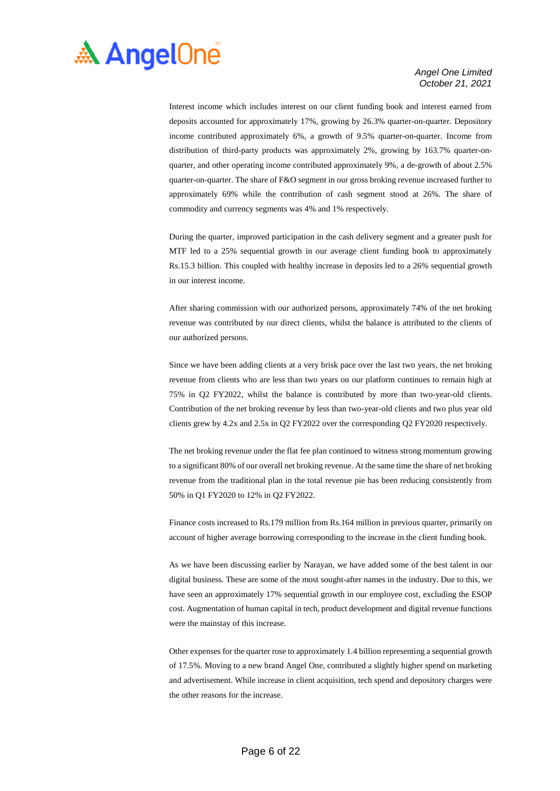

Interest income which includes interest on our client funding book and interest earned from deposits accounted for approximately 17%, growing by 26.3% quarter-on-quarter. Depository income contributed approximately 6%, a growth of 9.5% quarter-on-quarter. Income from distribution of third-party products was approximately 2%, growing by 163.7% quarter-onquarter, and other operating income contributed approximately 9%, a de-growth of about 2.5% quarter-on-quarter. The share of F&O segment in our gross broking revenue increased further to approximately 69% while the contribution of cash segment stood at 26%. The share of commodity and currency segments was 4% and 1% respectively.

During the quarter, improved participation in the cash delivery segment and a greater push for MTF led to a 25% sequential growth in our average client funding book to approximately Rs.15.3 billion. This coupled with healthy increase in deposits led to a 26% sequential growth in our interest income.

After sharing commission with our authorized persons, approximately 74% of the net broking revenue was contributed by our direct clients, whilst the balance is attributed to the clients of our authorized persons.

Since we have been adding clients at a very brisk pace over the last two years, the net broking revenue from clients who are less than two years on our platform continues to remain high at 75% in Q2 FY2022, whilst the balance is contributed by more than two-year-old clients. Contribution of the net broking revenue by less than two-year-old clients and two plus year old clients grew by 4.2x and 2.5x in Q2 FY2022 over the corresponding Q2 FY2020 respectively.

The net broking revenue under the flat fee plan continued to witness strong momentum growing to a significant 80% of our overall net broking revenue. At the same time the share of net broking revenue from the traditional plan in the total revenue pie has been reducing consistently from 50% in Q1 FY2020 to 12% in Q2 FY2022.

Finance costs increased to Rs.179 million from Rs.164 million in previous quarter, primarily on account of higher average borrowing corresponding to the increase in the client funding book.

As we have been discussing earlier by Narayan, we have added some of the best talent in our digital business. These are some of the most sought-after names in the industry. Due to this, we have seen an approximately 17% sequential growth in our employee cost, excluding the ESOP cost. Augmentation of human capital in tech, product development and digital revenue functions were the mainstay of this increase.

Other expenses for the quarter rose to approximately 1.4 billion representing a sequential growth of 17.5%. Moving to a new brand Angel One, contributed a slightly higher spend on marketing and advertisement. While increase in client acquisition, tech spend and depository charges were the other reasons for the increase.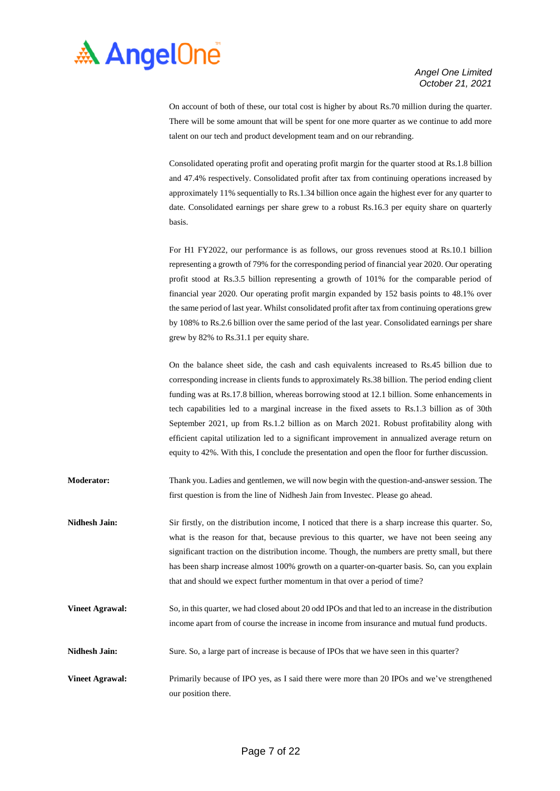

On account of both of these, our total cost is higher by about Rs.70 million during the quarter. There will be some amount that will be spent for one more quarter as we continue to add more talent on our tech and product development team and on our rebranding.

Consolidated operating profit and operating profit margin for the quarter stood at Rs.1.8 billion and 47.4% respectively. Consolidated profit after tax from continuing operations increased by approximately 11% sequentially to Rs.1.34 billion once again the highest ever for any quarter to date. Consolidated earnings per share grew to a robust Rs.16.3 per equity share on quarterly basis.

For H1 FY2022, our performance is as follows, our gross revenues stood at Rs.10.1 billion representing a growth of 79% for the corresponding period of financial year 2020. Our operating profit stood at Rs.3.5 billion representing a growth of 101% for the comparable period of financial year 2020. Our operating profit margin expanded by 152 basis points to 48.1% over the same period of last year. Whilst consolidated profit after tax from continuing operations grew by 108% to Rs.2.6 billion over the same period of the last year. Consolidated earnings per share grew by 82% to Rs.31.1 per equity share.

On the balance sheet side, the cash and cash equivalents increased to Rs.45 billion due to corresponding increase in clients funds to approximately Rs.38 billion. The period ending client funding was at Rs.17.8 billion, whereas borrowing stood at 12.1 billion. Some enhancements in tech capabilities led to a marginal increase in the fixed assets to Rs.1.3 billion as of 30th September 2021, up from Rs.1.2 billion as on March 2021. Robust profitability along with efficient capital utilization led to a significant improvement in annualized average return on equity to 42%. With this, I conclude the presentation and open the floor for further discussion.

- **Moderator:** Thank you. Ladies and gentlemen, we will now begin with the question-and-answer session. The first question is from the line of Nidhesh Jain from Investec. Please go ahead.
- **Nidhesh Jain:** Sir firstly, on the distribution income, I noticed that there is a sharp increase this quarter. So, what is the reason for that, because previous to this quarter, we have not been seeing any significant traction on the distribution income. Though, the numbers are pretty small, but there has been sharp increase almost 100% growth on a quarter-on-quarter basis. So, can you explain that and should we expect further momentum in that over a period of time?
- **Vineet Agrawal:** So, in this quarter, we had closed about 20 odd IPOs and that led to an increase in the distribution income apart from of course the increase in income from insurance and mutual fund products.
- **Nidhesh Jain:** Sure. So, a large part of increase is because of IPOs that we have seen in this quarter?
- **Vineet Agrawal:** Primarily because of IPO yes, as I said there were more than 20 IPOs and we've strengthened our position there.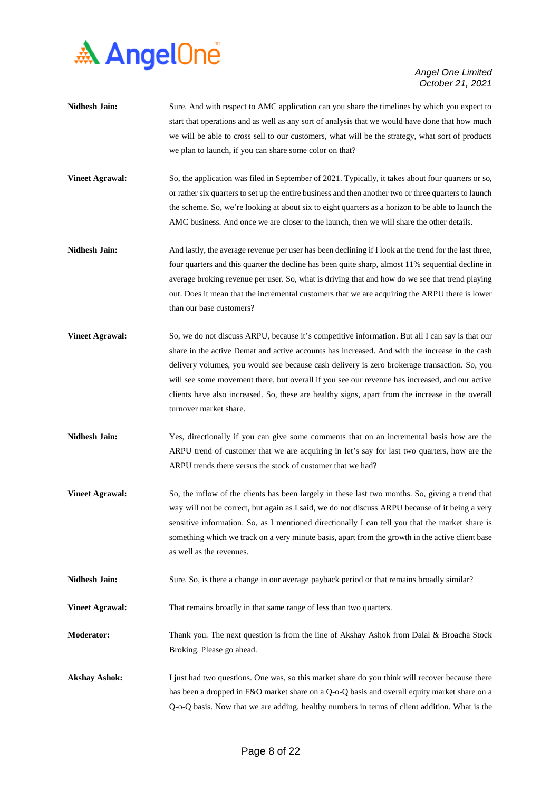

- **Nidhesh Jain:** Sure. And with respect to AMC application can you share the timelines by which you expect to start that operations and as well as any sort of analysis that we would have done that how much we will be able to cross sell to our customers, what will be the strategy, what sort of products we plan to launch, if you can share some color on that?
- **Vineet Agrawal:** So, the application was filed in September of 2021. Typically, it takes about four quarters or so, or rather six quarters to set up the entire business and then another two or three quarters to launch the scheme. So, we're looking at about six to eight quarters as a horizon to be able to launch the AMC business. And once we are closer to the launch, then we will share the other details.
- **Nidhesh Jain:** And lastly, the average revenue per user has been declining if I look at the trend for the last three, four quarters and this quarter the decline has been quite sharp, almost 11% sequential decline in average broking revenue per user. So, what is driving that and how do we see that trend playing out. Does it mean that the incremental customers that we are acquiring the ARPU there is lower than our base customers?
- **Vineet Agrawal:** So, we do not discuss ARPU, because it's competitive information. But all I can say is that our share in the active Demat and active accounts has increased. And with the increase in the cash delivery volumes, you would see because cash delivery is zero brokerage transaction. So, you will see some movement there, but overall if you see our revenue has increased, and our active clients have also increased. So, these are healthy signs, apart from the increase in the overall turnover market share.
- Nidhesh Jain: Yes, directionally if you can give some comments that on an incremental basis how are the ARPU trend of customer that we are acquiring in let's say for last two quarters, how are the ARPU trends there versus the stock of customer that we had?
- **Vineet Agrawal:** So, the inflow of the clients has been largely in these last two months. So, giving a trend that way will not be correct, but again as I said, we do not discuss ARPU because of it being a very sensitive information. So, as I mentioned directionally I can tell you that the market share is something which we track on a very minute basis, apart from the growth in the active client base as well as the revenues.
- Nidhesh Jain: Sure. So, is there a change in our average payback period or that remains broadly similar?

**Vineet Agrawal:** That remains broadly in that same range of less than two quarters.

**Moderator:** Thank you. The next question is from the line of Akshay Ashok from Dalal & Broacha Stock Broking. Please go ahead.

Akshay Ashok: I just had two questions. One was, so this market share do you think will recover because there has been a dropped in F&O market share on a Q-o-Q basis and overall equity market share on a Q-o-Q basis. Now that we are adding, healthy numbers in terms of client addition. What is the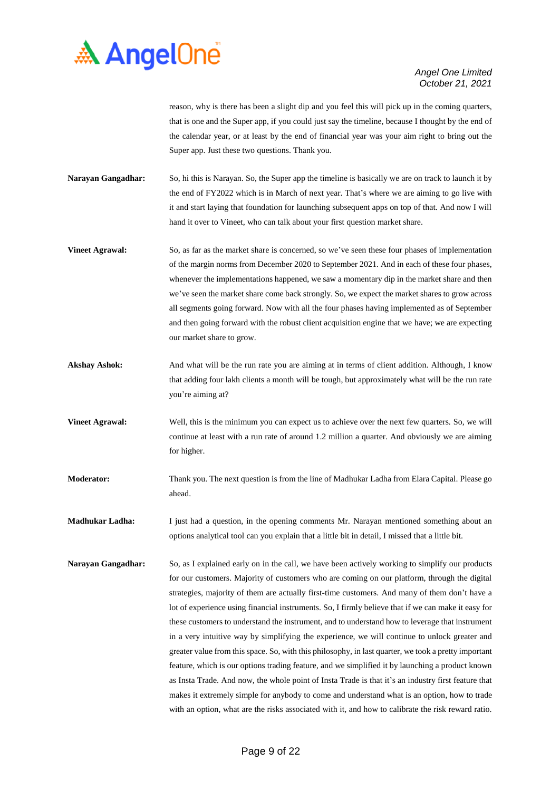

reason, why is there has been a slight dip and you feel this will pick up in the coming quarters, that is one and the Super app, if you could just say the timeline, because I thought by the end of the calendar year, or at least by the end of financial year was your aim right to bring out the Super app. Just these two questions. Thank you.

**Narayan Gangadhar:** So, hi this is Narayan. So, the Super app the timeline is basically we are on track to launch it by the end of FY2022 which is in March of next year. That's where we are aiming to go live with it and start laying that foundation for launching subsequent apps on top of that. And now I will hand it over to Vineet, who can talk about your first question market share.

- **Vineet Agrawal:** So, as far as the market share is concerned, so we've seen these four phases of implementation of the margin norms from December 2020 to September 2021. And in each of these four phases, whenever the implementations happened, we saw a momentary dip in the market share and then we've seen the market share come back strongly. So, we expect the market shares to grow across all segments going forward. Now with all the four phases having implemented as of September and then going forward with the robust client acquisition engine that we have; we are expecting our market share to grow.
- **Akshay Ashok:** And what will be the run rate you are aiming at in terms of client addition. Although, I know that adding four lakh clients a month will be tough, but approximately what will be the run rate you're aiming at?
- **Vineet Agrawal:** Well, this is the minimum you can expect us to achieve over the next few quarters. So, we will continue at least with a run rate of around 1.2 million a quarter. And obviously we are aiming for higher.
- **Moderator:** Thank you. The next question is from the line of Madhukar Ladha from Elara Capital. Please go ahead.

**Madhukar Ladha:** I just had a question, in the opening comments Mr. Narayan mentioned something about an options analytical tool can you explain that a little bit in detail, I missed that a little bit.

**Narayan Gangadhar:** So, as I explained early on in the call, we have been actively working to simplify our products for our customers. Majority of customers who are coming on our platform, through the digital strategies, majority of them are actually first-time customers. And many of them don't have a lot of experience using financial instruments. So, I firmly believe that if we can make it easy for these customers to understand the instrument, and to understand how to leverage that instrument in a very intuitive way by simplifying the experience, we will continue to unlock greater and greater value from this space. So, with this philosophy, in last quarter, we took a pretty important feature, which is our options trading feature, and we simplified it by launching a product known as Insta Trade. And now, the whole point of Insta Trade is that it's an industry first feature that makes it extremely simple for anybody to come and understand what is an option, how to trade with an option, what are the risks associated with it, and how to calibrate the risk reward ratio.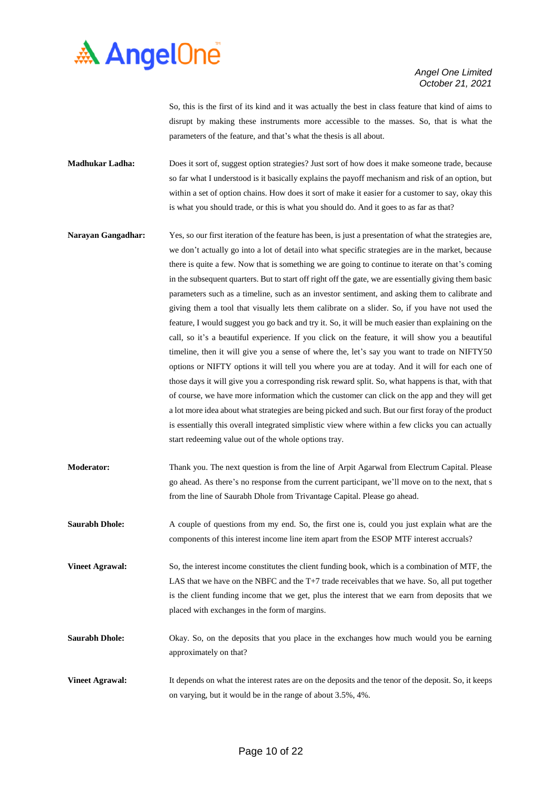

So, this is the first of its kind and it was actually the best in class feature that kind of aims to disrupt by making these instruments more accessible to the masses. So, that is what the parameters of the feature, and that's what the thesis is all about.

- **Madhukar Ladha:** Does it sort of, suggest option strategies? Just sort of how does it make someone trade, because so far what I understood is it basically explains the payoff mechanism and risk of an option, but within a set of option chains. How does it sort of make it easier for a customer to say, okay this is what you should trade, or this is what you should do. And it goes to as far as that?
- **Narayan Gangadhar:** Yes, so our first iteration of the feature has been, is just a presentation of what the strategies are, we don't actually go into a lot of detail into what specific strategies are in the market, because there is quite a few. Now that is something we are going to continue to iterate on that's coming in the subsequent quarters. But to start off right off the gate, we are essentially giving them basic parameters such as a timeline, such as an investor sentiment, and asking them to calibrate and giving them a tool that visually lets them calibrate on a slider. So, if you have not used the feature, I would suggest you go back and try it. So, it will be much easier than explaining on the call, so it's a beautiful experience. If you click on the feature, it will show you a beautiful timeline, then it will give you a sense of where the, let's say you want to trade on NIFTY50 options or NIFTY options it will tell you where you are at today. And it will for each one of those days it will give you a corresponding risk reward split. So, what happens is that, with that of course, we have more information which the customer can click on the app and they will get a lot more idea about what strategies are being picked and such. But our first foray of the product is essentially this overall integrated simplistic view where within a few clicks you can actually start redeeming value out of the whole options tray.
- **Moderator:** Thank you. The next question is from the line of Arpit Agarwal from Electrum Capital. Please go ahead. As there's no response from the current participant, we'll move on to the next, that s from the line of Saurabh Dhole from Trivantage Capital. Please go ahead.
- **Saurabh Dhole:** A couple of questions from my end. So, the first one is, could you just explain what are the components of this interest income line item apart from the ESOP MTF interest accruals?
- **Vineet Agrawal:** So, the interest income constitutes the client funding book, which is a combination of MTF, the LAS that we have on the NBFC and the T+7 trade receivables that we have. So, all put together is the client funding income that we get, plus the interest that we earn from deposits that we placed with exchanges in the form of margins.
- **Saurabh Dhole:** Okay. So, on the deposits that you place in the exchanges how much would you be earning approximately on that?
- **Vineet Agrawal:** It depends on what the interest rates are on the deposits and the tenor of the deposit. So, it keeps on varying, but it would be in the range of about 3.5%, 4%.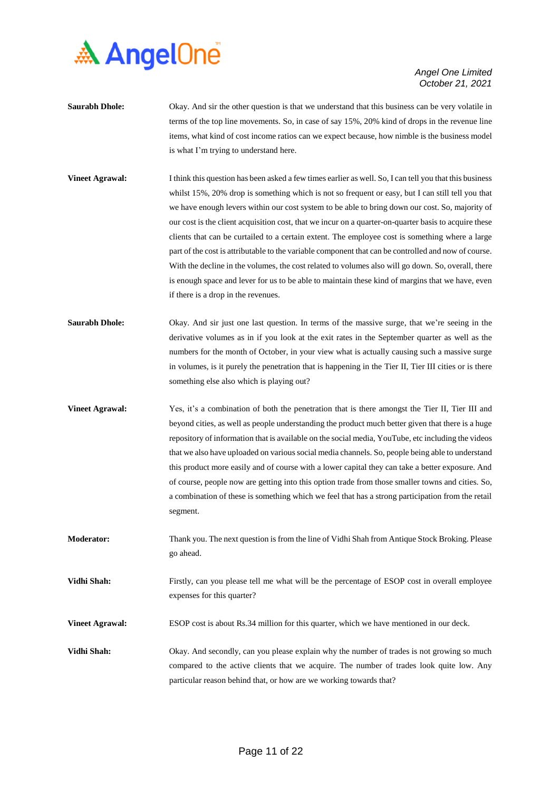

- **Saurabh Dhole:** Okay. And sir the other question is that we understand that this business can be very volatile in terms of the top line movements. So, in case of say 15%, 20% kind of drops in the revenue line items, what kind of cost income ratios can we expect because, how nimble is the business model is what I'm trying to understand here.
- **Vineet Agrawal:** I think this question has been asked a few times earlier as well. So, I can tell you that this business whilst 15%, 20% drop is something which is not so frequent or easy, but I can still tell you that we have enough levers within our cost system to be able to bring down our cost. So, majority of our cost is the client acquisition cost, that we incur on a quarter-on-quarter basis to acquire these clients that can be curtailed to a certain extent. The employee cost is something where a large part of the cost is attributable to the variable component that can be controlled and now of course. With the decline in the volumes, the cost related to volumes also will go down. So, overall, there is enough space and lever for us to be able to maintain these kind of margins that we have, even if there is a drop in the revenues.
- **Saurabh Dhole:** Okay. And sir just one last question. In terms of the massive surge, that we're seeing in the derivative volumes as in if you look at the exit rates in the September quarter as well as the numbers for the month of October, in your view what is actually causing such a massive surge in volumes, is it purely the penetration that is happening in the Tier II, Tier III cities or is there something else also which is playing out?
- **Vineet Agrawal:** Yes, it's a combination of both the penetration that is there amongst the Tier II, Tier III and beyond cities, as well as people understanding the product much better given that there is a huge repository of information that is available on the social media, YouTube, etc including the videos that we also have uploaded on various social media channels. So, people being able to understand this product more easily and of course with a lower capital they can take a better exposure. And of course, people now are getting into this option trade from those smaller towns and cities. So, a combination of these is something which we feel that has a strong participation from the retail segment.
- **Moderator:** Thank you. The next question is from the line of Vidhi Shah from Antique Stock Broking. Please go ahead.

**Vidhi Shah:** Firstly, can you please tell me what will be the percentage of ESOP cost in overall employee expenses for this quarter?

**Vineet Agrawal:** ESOP cost is about Rs.34 million for this quarter, which we have mentioned in our deck.

**Vidhi Shah:** Okay. And secondly, can you please explain why the number of trades is not growing so much compared to the active clients that we acquire. The number of trades look quite low. Any particular reason behind that, or how are we working towards that?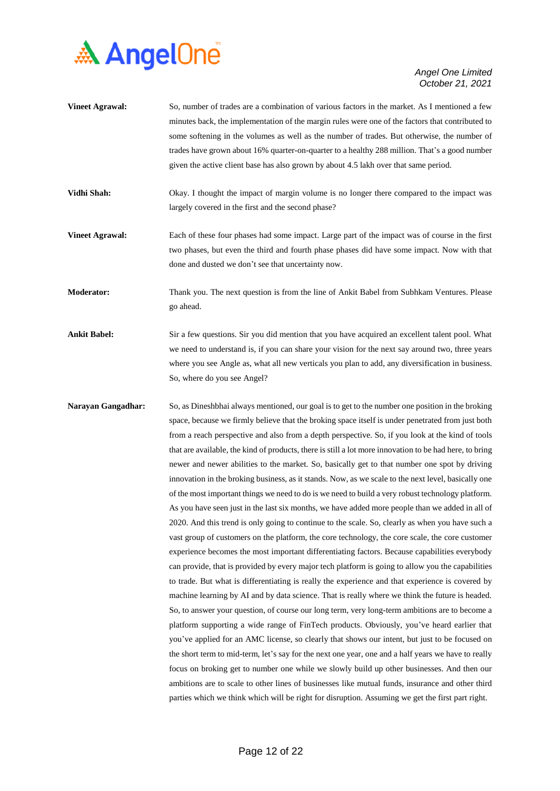

**Vineet Agrawal:** So, number of trades are a combination of various factors in the market. As I mentioned a few minutes back, the implementation of the margin rules were one of the factors that contributed to some softening in the volumes as well as the number of trades. But otherwise, the number of trades have grown about 16% quarter-on-quarter to a healthy 288 million. That's a good number given the active client base has also grown by about 4.5 lakh over that same period. **Vidhi Shah:** Okay. I thought the impact of margin volume is no longer there compared to the impact was largely covered in the first and the second phase? **Vineet Agrawal:** Each of these four phases had some impact. Large part of the impact was of course in the first two phases, but even the third and fourth phase phases did have some impact. Now with that done and dusted we don't see that uncertainty now.

**Moderator:** Thank you. The next question is from the line of Ankit Babel from Subhkam Ventures. Please go ahead.

- **Ankit Babel:** Sir a few questions. Sir you did mention that you have acquired an excellent talent pool. What we need to understand is, if you can share your vision for the next say around two, three years where you see Angle as, what all new verticals you plan to add, any diversification in business. So, where do you see Angel?
- **Narayan Gangadhar:** So, as Dineshbhai always mentioned, our goal is to get to the number one position in the broking space, because we firmly believe that the broking space itself is under penetrated from just both from a reach perspective and also from a depth perspective. So, if you look at the kind of tools that are available, the kind of products, there is still a lot more innovation to be had here, to bring newer and newer abilities to the market. So, basically get to that number one spot by driving innovation in the broking business, as it stands. Now, as we scale to the next level, basically one of the most important things we need to do is we need to build a very robust technology platform. As you have seen just in the last six months, we have added more people than we added in all of 2020. And this trend is only going to continue to the scale. So, clearly as when you have such a vast group of customers on the platform, the core technology, the core scale, the core customer experience becomes the most important differentiating factors. Because capabilities everybody can provide, that is provided by every major tech platform is going to allow you the capabilities to trade. But what is differentiating is really the experience and that experience is covered by machine learning by AI and by data science. That is really where we think the future is headed. So, to answer your question, of course our long term, very long-term ambitions are to become a platform supporting a wide range of FinTech products. Obviously, you've heard earlier that you've applied for an AMC license, so clearly that shows our intent, but just to be focused on the short term to mid-term, let's say for the next one year, one and a half years we have to really focus on broking get to number one while we slowly build up other businesses. And then our ambitions are to scale to other lines of businesses like mutual funds, insurance and other third parties which we think which will be right for disruption. Assuming we get the first part right.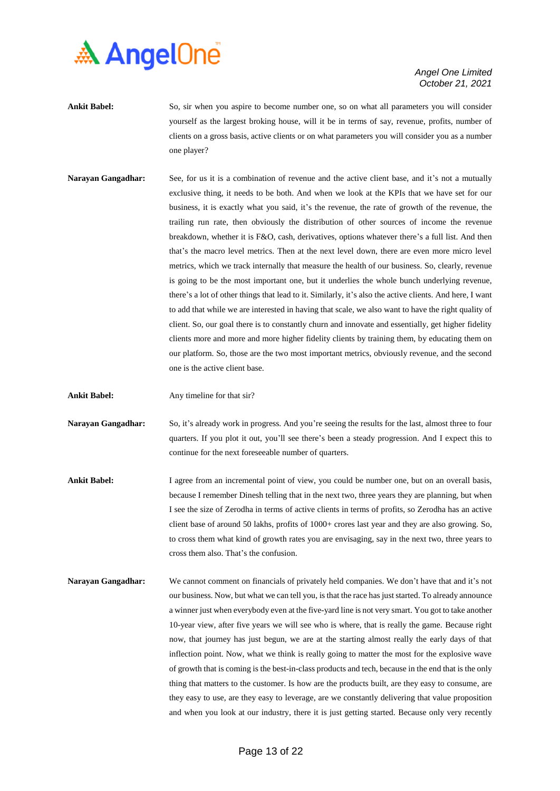

- **Ankit Babel:** So, sir when you aspire to become number one, so on what all parameters you will consider yourself as the largest broking house, will it be in terms of say, revenue, profits, number of clients on a gross basis, active clients or on what parameters you will consider you as a number one player?
- **Narayan Gangadhar:** See, for us it is a combination of revenue and the active client base, and it's not a mutually exclusive thing, it needs to be both. And when we look at the KPIs that we have set for our business, it is exactly what you said, it's the revenue, the rate of growth of the revenue, the trailing run rate, then obviously the distribution of other sources of income the revenue breakdown, whether it is F&O, cash, derivatives, options whatever there's a full list. And then that's the macro level metrics. Then at the next level down, there are even more micro level metrics, which we track internally that measure the health of our business. So, clearly, revenue is going to be the most important one, but it underlies the whole bunch underlying revenue, there's a lot of other things that lead to it. Similarly, it's also the active clients. And here, I want to add that while we are interested in having that scale, we also want to have the right quality of client. So, our goal there is to constantly churn and innovate and essentially, get higher fidelity clients more and more and more higher fidelity clients by training them, by educating them on our platform. So, those are the two most important metrics, obviously revenue, and the second one is the active client base.
- **Ankit Babel:** Any timeline for that sir?
- **Narayan Gangadhar:** So, it's already work in progress. And you're seeing the results for the last, almost three to four quarters. If you plot it out, you'll see there's been a steady progression. And I expect this to continue for the next foreseeable number of quarters.
- **Ankit Babel:** I agree from an incremental point of view, you could be number one, but on an overall basis, because I remember Dinesh telling that in the next two, three years they are planning, but when I see the size of Zerodha in terms of active clients in terms of profits, so Zerodha has an active client base of around 50 lakhs, profits of 1000+ crores last year and they are also growing. So, to cross them what kind of growth rates you are envisaging, say in the next two, three years to cross them also. That's the confusion.
- **Narayan Gangadhar:** We cannot comment on financials of privately held companies. We don't have that and it's not our business. Now, but what we can tell you, is that the race has just started. To already announce a winner just when everybody even at the five-yard line is not very smart. You got to take another 10-year view, after five years we will see who is where, that is really the game. Because right now, that journey has just begun, we are at the starting almost really the early days of that inflection point. Now, what we think is really going to matter the most for the explosive wave of growth that is coming is the best-in-class products and tech, because in the end that is the only thing that matters to the customer. Is how are the products built, are they easy to consume, are they easy to use, are they easy to leverage, are we constantly delivering that value proposition and when you look at our industry, there it is just getting started. Because only very recently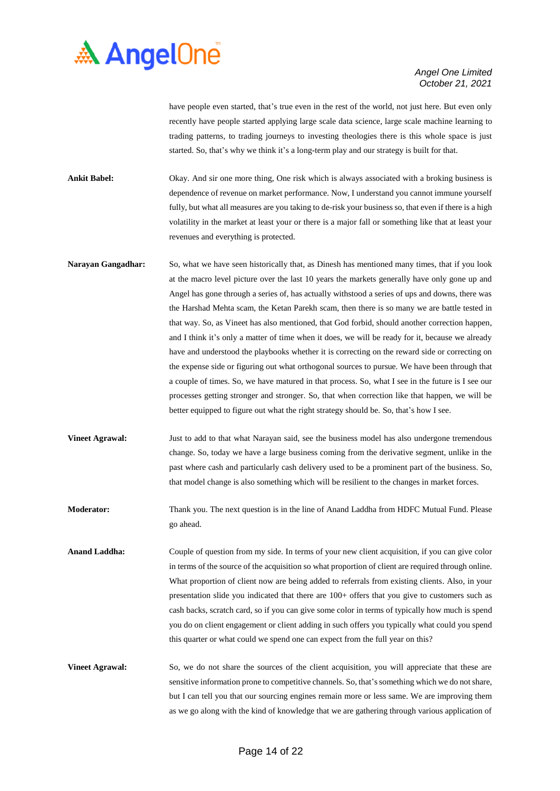

have people even started, that's true even in the rest of the world, not just here. But even only recently have people started applying large scale data science, large scale machine learning to trading patterns, to trading journeys to investing theologies there is this whole space is just started. So, that's why we think it's a long-term play and our strategy is built for that.

**Ankit Babel:** Okay. And sir one more thing, One risk which is always associated with a broking business is dependence of revenue on market performance. Now, I understand you cannot immune yourself fully, but what all measures are you taking to de-risk your business so, that even if there is a high volatility in the market at least your or there is a major fall or something like that at least your revenues and everything is protected.

- **Narayan Gangadhar:** So, what we have seen historically that, as Dinesh has mentioned many times, that if you look at the macro level picture over the last 10 years the markets generally have only gone up and Angel has gone through a series of, has actually withstood a series of ups and downs, there was the Harshad Mehta scam, the Ketan Parekh scam, then there is so many we are battle tested in that way. So, as Vineet has also mentioned, that God forbid, should another correction happen, and I think it's only a matter of time when it does, we will be ready for it, because we already have and understood the playbooks whether it is correcting on the reward side or correcting on the expense side or figuring out what orthogonal sources to pursue. We have been through that a couple of times. So, we have matured in that process. So, what I see in the future is I see our processes getting stronger and stronger. So, that when correction like that happen, we will be better equipped to figure out what the right strategy should be. So, that's how I see.
- **Vineet Agrawal:** Just to add to that what Narayan said, see the business model has also undergone tremendous change. So, today we have a large business coming from the derivative segment, unlike in the past where cash and particularly cash delivery used to be a prominent part of the business. So, that model change is also something which will be resilient to the changes in market forces.
- **Moderator:** Thank you. The next question is in the line of Anand Laddha from HDFC Mutual Fund. Please go ahead.
- **Anand Laddha:** Couple of question from my side. In terms of your new client acquisition, if you can give color in terms of the source of the acquisition so what proportion of client are required through online. What proportion of client now are being added to referrals from existing clients. Also, in your presentation slide you indicated that there are 100+ offers that you give to customers such as cash backs, scratch card, so if you can give some color in terms of typically how much is spend you do on client engagement or client adding in such offers you typically what could you spend this quarter or what could we spend one can expect from the full year on this?
- **Vineet Agrawal:** So, we do not share the sources of the client acquisition, you will appreciate that these are sensitive information prone to competitive channels. So, that's something which we do not share, but I can tell you that our sourcing engines remain more or less same. We are improving them as we go along with the kind of knowledge that we are gathering through various application of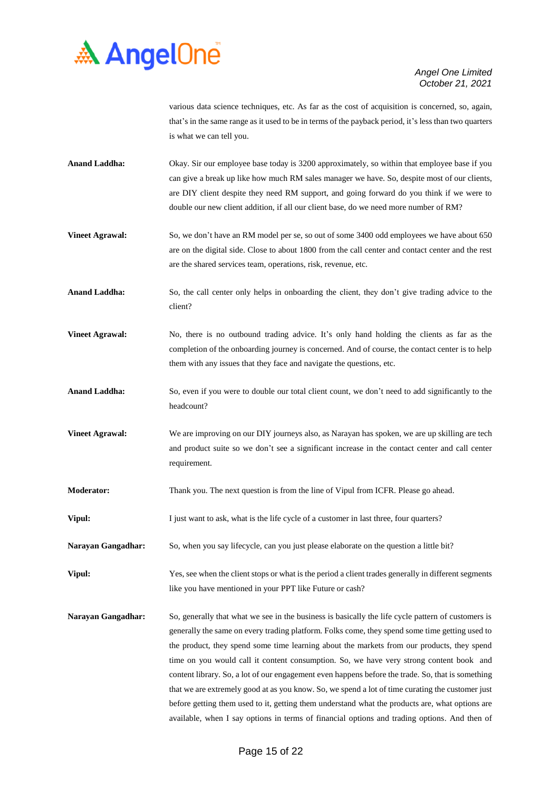

various data science techniques, etc. As far as the cost of acquisition is concerned, so, again, that's in the same range as it used to be in terms of the payback period, it's less than two quarters is what we can tell you.

- **Anand Laddha:** Okay. Sir our employee base today is 3200 approximately, so within that employee base if you can give a break up like how much RM sales manager we have. So, despite most of our clients, are DIY client despite they need RM support, and going forward do you think if we were to double our new client addition, if all our client base, do we need more number of RM?
- **Vineet Agrawal:** So, we don't have an RM model per se, so out of some 3400 odd employees we have about 650 are on the digital side. Close to about 1800 from the call center and contact center and the rest are the shared services team, operations, risk, revenue, etc.
- Anand Laddha: So, the call center only helps in onboarding the client, they don't give trading advice to the client?
- **Vineet Agrawal:** No, there is no outbound trading advice. It's only hand holding the clients as far as the completion of the onboarding journey is concerned. And of course, the contact center is to help them with any issues that they face and navigate the questions, etc.
- Anand Laddha: So, even if you were to double our total client count, we don't need to add significantly to the headcount?
- **Vineet Agrawal:** We are improving on our DIY journeys also, as Narayan has spoken, we are up skilling are tech and product suite so we don't see a significant increase in the contact center and call center requirement.
- **Moderator:** Thank you. The next question is from the line of Vipul from ICFR. Please go ahead.
- **Vipul:** I just want to ask, what is the life cycle of a customer in last three, four quarters?
- **Narayan Gangadhar:** So, when you say lifecycle, can you just please elaborate on the question a little bit?
- **Vipul:** Yes, see when the client stops or what is the period a client trades generally in different segments like you have mentioned in your PPT like Future or cash?
- **Narayan Gangadhar:** So, generally that what we see in the business is basically the life cycle pattern of customers is generally the same on every trading platform. Folks come, they spend some time getting used to the product, they spend some time learning about the markets from our products, they spend time on you would call it content consumption. So, we have very strong content book and content library. So, a lot of our engagement even happens before the trade. So, that is something that we are extremely good at as you know. So, we spend a lot of time curating the customer just before getting them used to it, getting them understand what the products are, what options are available, when I say options in terms of financial options and trading options. And then of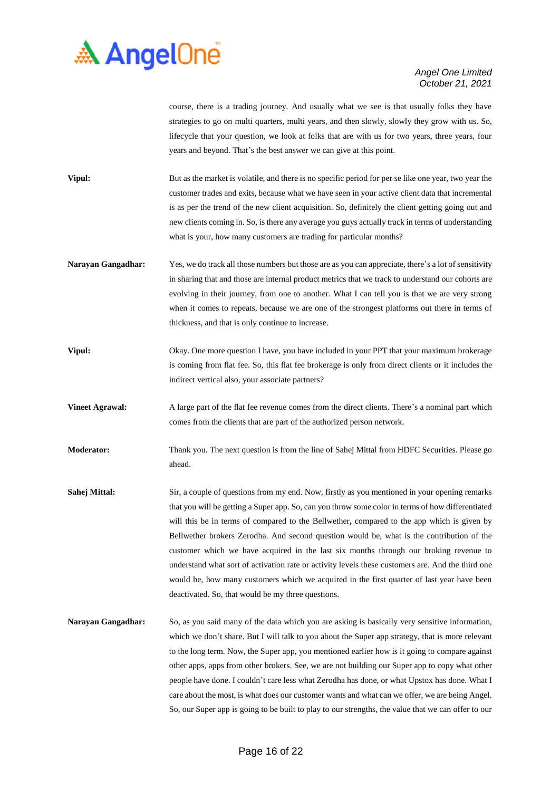

course, there is a trading journey. And usually what we see is that usually folks they have strategies to go on multi quarters, multi years, and then slowly, slowly they grow with us. So, lifecycle that your question, we look at folks that are with us for two years, three years, four years and beyond. That's the best answer we can give at this point.

- **Vipul:** But as the market is volatile, and there is no specific period for per se like one year, two year the customer trades and exits, because what we have seen in your active client data that incremental is as per the trend of the new client acquisition. So, definitely the client getting going out and new clients coming in. So, is there any average you guys actually track in terms of understanding what is your, how many customers are trading for particular months?
- **Narayan Gangadhar:** Yes, we do track all those numbers but those are as you can appreciate, there's a lot of sensitivity in sharing that and those are internal product metrics that we track to understand our cohorts are evolving in their journey, from one to another. What I can tell you is that we are very strong when it comes to repeats, because we are one of the strongest platforms out there in terms of thickness, and that is only continue to increase.
- **Vipul:** Okay. One more question I have, you have included in your PPT that your maximum brokerage is coming from flat fee. So, this flat fee brokerage is only from direct clients or it includes the indirect vertical also, your associate partners?
- **Vineet Agrawal:** A large part of the flat fee revenue comes from the direct clients. There's a nominal part which comes from the clients that are part of the authorized person network.
- **Moderator:** Thank you. The next question is from the line of Sahej Mittal from HDFC Securities. Please go ahead.
- **Sahej Mittal:** Sir, a couple of questions from my end. Now, firstly as you mentioned in your opening remarks that you will be getting a Super app. So, can you throw some color in terms of how differentiated will this be in terms of compared to the Bellwether**,** compared to the app which is given by Bellwether brokers Zerodha. And second question would be, what is the contribution of the customer which we have acquired in the last six months through our broking revenue to understand what sort of activation rate or activity levels these customers are. And the third one would be, how many customers which we acquired in the first quarter of last year have been deactivated. So, that would be my three questions.
- **Narayan Gangadhar:** So, as you said many of the data which you are asking is basically very sensitive information, which we don't share. But I will talk to you about the Super app strategy, that is more relevant to the long term. Now, the Super app, you mentioned earlier how is it going to compare against other apps, apps from other brokers. See, we are not building our Super app to copy what other people have done. I couldn't care less what Zerodha has done, or what Upstox has done. What I care about the most, is what does our customer wants and what can we offer, we are being Angel. So, our Super app is going to be built to play to our strengths, the value that we can offer to our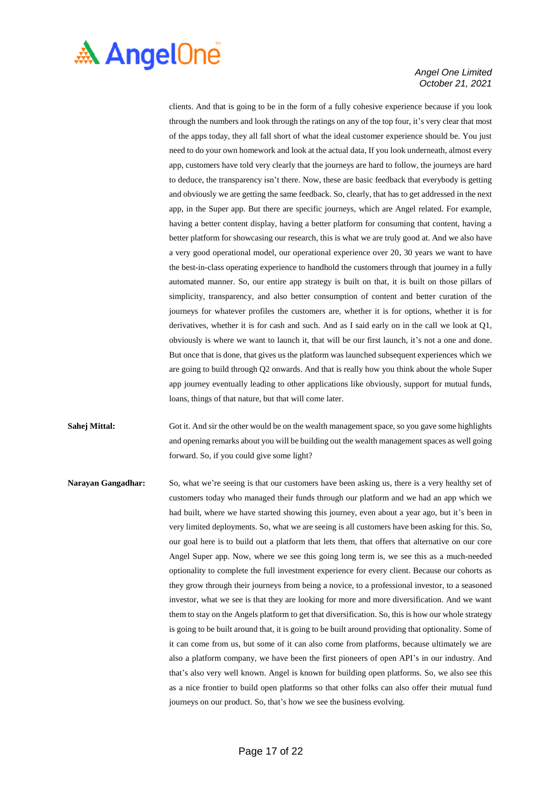

clients. And that is going to be in the form of a fully cohesive experience because if you look through the numbers and look through the ratings on any of the top four, it's very clear that most of the apps today, they all fall short of what the ideal customer experience should be. You just need to do your own homework and look at the actual data, If you look underneath, almost every app, customers have told very clearly that the journeys are hard to follow, the journeys are hard to deduce, the transparency isn't there. Now, these are basic feedback that everybody is getting and obviously we are getting the same feedback. So, clearly, that has to get addressed in the next app, in the Super app. But there are specific journeys, which are Angel related. For example, having a better content display, having a better platform for consuming that content, having a better platform for showcasing our research, this is what we are truly good at. And we also have a very good operational model, our operational experience over 20, 30 years we want to have the best-in-class operating experience to handhold the customers through that journey in a fully automated manner. So, our entire app strategy is built on that, it is built on those pillars of simplicity, transparency, and also better consumption of content and better curation of the journeys for whatever profiles the customers are, whether it is for options, whether it is for derivatives, whether it is for cash and such. And as I said early on in the call we look at Q1, obviously is where we want to launch it, that will be our first launch, it's not a one and done. But once that is done, that gives us the platform was launched subsequent experiences which we are going to build through Q2 onwards. And that is really how you think about the whole Super app journey eventually leading to other applications like obviously, support for mutual funds, loans, things of that nature, but that will come later.

**Sahej Mittal:** Got it. And sir the other would be on the wealth management space, so you gave some highlights and opening remarks about you will be building out the wealth management spaces as well going forward. So, if you could give some light?

**Narayan Gangadhar:** So, what we're seeing is that our customers have been asking us, there is a very healthy set of customers today who managed their funds through our platform and we had an app which we had built, where we have started showing this journey, even about a year ago, but it's been in very limited deployments. So, what we are seeing is all customers have been asking for this. So, our goal here is to build out a platform that lets them, that offers that alternative on our core Angel Super app. Now, where we see this going long term is, we see this as a much-needed optionality to complete the full investment experience for every client. Because our cohorts as they grow through their journeys from being a novice, to a professional investor, to a seasoned investor, what we see is that they are looking for more and more diversification. And we want them to stay on the Angels platform to get that diversification. So, this is how our whole strategy is going to be built around that, it is going to be built around providing that optionality. Some of it can come from us, but some of it can also come from platforms, because ultimately we are also a platform company, we have been the first pioneers of open API's in our industry. And that's also very well known. Angel is known for building open platforms. So, we also see this as a nice frontier to build open platforms so that other folks can also offer their mutual fund journeys on our product. So, that's how we see the business evolving.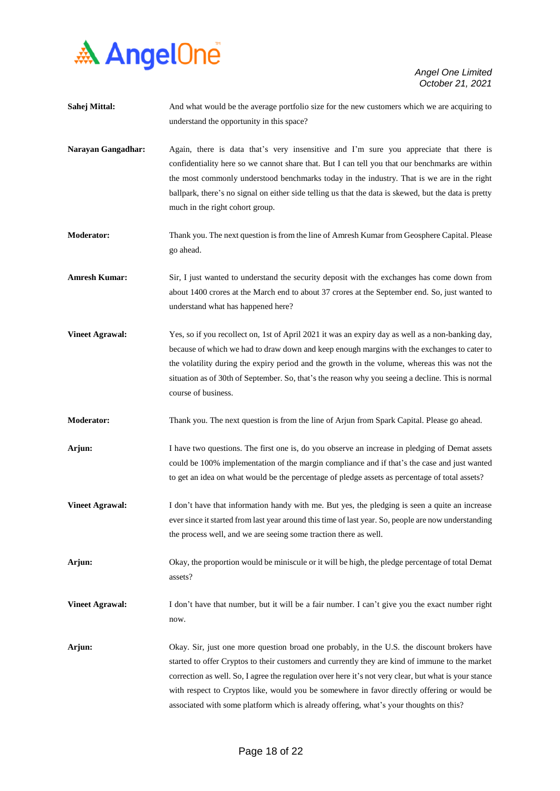

| Sahej Mittal:             | And what would be the average portfolio size for the new customers which we are acquiring to<br>understand the opportunity in this space?                                                                                                                                                                                                                                                                                                                                                        |
|---------------------------|--------------------------------------------------------------------------------------------------------------------------------------------------------------------------------------------------------------------------------------------------------------------------------------------------------------------------------------------------------------------------------------------------------------------------------------------------------------------------------------------------|
| <b>Narayan Gangadhar:</b> | Again, there is data that's very insensitive and I'm sure you appreciate that there is<br>confidentiality here so we cannot share that. But I can tell you that our benchmarks are within<br>the most commonly understood benchmarks today in the industry. That is we are in the right<br>ballpark, there's no signal on either side telling us that the data is skewed, but the data is pretty<br>much in the right cohort group.                                                              |
| <b>Moderator:</b>         | Thank you. The next question is from the line of Amresh Kumar from Geosphere Capital. Please<br>go ahead.                                                                                                                                                                                                                                                                                                                                                                                        |
| <b>Amresh Kumar:</b>      | Sir, I just wanted to understand the security deposit with the exchanges has come down from<br>about 1400 crores at the March end to about 37 crores at the September end. So, just wanted to<br>understand what has happened here?                                                                                                                                                                                                                                                              |
| <b>Vineet Agrawal:</b>    | Yes, so if you recollect on, 1st of April 2021 it was an expiry day as well as a non-banking day,<br>because of which we had to draw down and keep enough margins with the exchanges to cater to<br>the volatility during the expiry period and the growth in the volume, whereas this was not the<br>situation as of 30th of September. So, that's the reason why you seeing a decline. This is normal<br>course of business.                                                                   |
| <b>Moderator:</b>         | Thank you. The next question is from the line of Arjun from Spark Capital. Please go ahead.                                                                                                                                                                                                                                                                                                                                                                                                      |
| Arjun:                    | I have two questions. The first one is, do you observe an increase in pledging of Demat assets<br>could be 100% implementation of the margin compliance and if that's the case and just wanted<br>to get an idea on what would be the percentage of pledge assets as percentage of total assets?                                                                                                                                                                                                 |
| <b>Vineet Agrawal:</b>    | I don't have that information handy with me. But yes, the pledging is seen a quite an increase<br>ever since it started from last year around this time of last year. So, people are now understanding<br>the process well, and we are seeing some traction there as well.                                                                                                                                                                                                                       |
| Arjun:                    | Okay, the proportion would be miniscule or it will be high, the pledge percentage of total Demat<br>assets?                                                                                                                                                                                                                                                                                                                                                                                      |
| <b>Vineet Agrawal:</b>    | I don't have that number, but it will be a fair number. I can't give you the exact number right<br>now.                                                                                                                                                                                                                                                                                                                                                                                          |
| Arjun:                    | Okay. Sir, just one more question broad one probably, in the U.S. the discount brokers have<br>started to offer Cryptos to their customers and currently they are kind of immune to the market<br>correction as well. So, I agree the regulation over here it's not very clear, but what is your stance<br>with respect to Cryptos like, would you be somewhere in favor directly offering or would be<br>associated with some platform which is already offering, what's your thoughts on this? |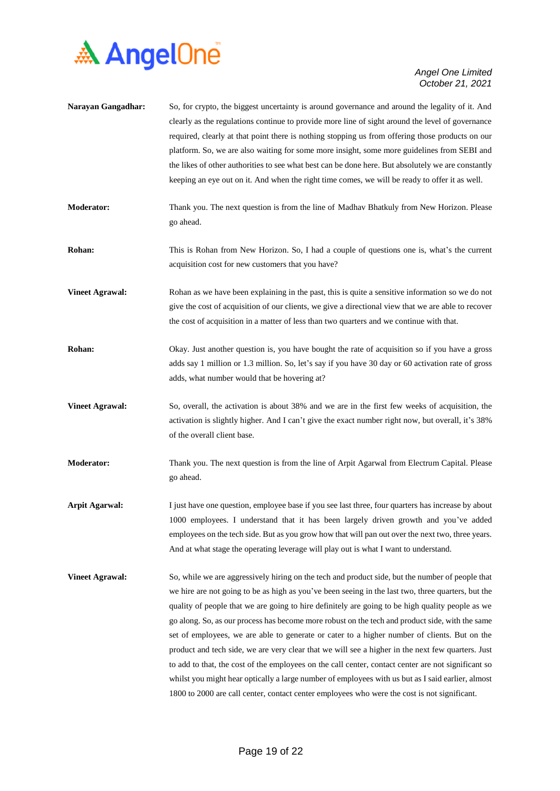

| Narayan Gangadhar:     | So, for crypto, the biggest uncertainty is around governance and around the legality of it. And<br>clearly as the regulations continue to provide more line of sight around the level of governance<br>required, clearly at that point there is nothing stopping us from offering those products on our<br>platform. So, we are also waiting for some more insight, some more guidelines from SEBI and<br>the likes of other authorities to see what best can be done here. But absolutely we are constantly<br>keeping an eye out on it. And when the right time comes, we will be ready to offer it as well.                                                                                                                                                                                                                                                                                                                 |
|------------------------|--------------------------------------------------------------------------------------------------------------------------------------------------------------------------------------------------------------------------------------------------------------------------------------------------------------------------------------------------------------------------------------------------------------------------------------------------------------------------------------------------------------------------------------------------------------------------------------------------------------------------------------------------------------------------------------------------------------------------------------------------------------------------------------------------------------------------------------------------------------------------------------------------------------------------------|
| <b>Moderator:</b>      | Thank you. The next question is from the line of Madhav Bhatkuly from New Horizon. Please<br>go ahead.                                                                                                                                                                                                                                                                                                                                                                                                                                                                                                                                                                                                                                                                                                                                                                                                                         |
| Rohan:                 | This is Rohan from New Horizon. So, I had a couple of questions one is, what's the current<br>acquisition cost for new customers that you have?                                                                                                                                                                                                                                                                                                                                                                                                                                                                                                                                                                                                                                                                                                                                                                                |
| <b>Vineet Agrawal:</b> | Rohan as we have been explaining in the past, this is quite a sensitive information so we do not<br>give the cost of acquisition of our clients, we give a directional view that we are able to recover<br>the cost of acquisition in a matter of less than two quarters and we continue with that.                                                                                                                                                                                                                                                                                                                                                                                                                                                                                                                                                                                                                            |
| Rohan:                 | Okay. Just another question is, you have bought the rate of acquisition so if you have a gross<br>adds say 1 million or 1.3 million. So, let's say if you have 30 day or 60 activation rate of gross<br>adds, what number would that be hovering at?                                                                                                                                                                                                                                                                                                                                                                                                                                                                                                                                                                                                                                                                           |
| <b>Vineet Agrawal:</b> | So, overall, the activation is about 38% and we are in the first few weeks of acquisition, the<br>activation is slightly higher. And I can't give the exact number right now, but overall, it's 38%<br>of the overall client base.                                                                                                                                                                                                                                                                                                                                                                                                                                                                                                                                                                                                                                                                                             |
| Moderator:             | Thank you. The next question is from the line of Arpit Agarwal from Electrum Capital. Please<br>go ahead.                                                                                                                                                                                                                                                                                                                                                                                                                                                                                                                                                                                                                                                                                                                                                                                                                      |
| <b>Arpit Agarwal:</b>  | I just have one question, employee base if you see last three, four quarters has increase by about<br>1000 employees. I understand that it has been largely driven growth and you've added<br>employees on the tech side. But as you grow how that will pan out over the next two, three years.<br>And at what stage the operating leverage will play out is what I want to understand.                                                                                                                                                                                                                                                                                                                                                                                                                                                                                                                                        |
| <b>Vineet Agrawal:</b> | So, while we are aggressively hiring on the tech and product side, but the number of people that<br>we hire are not going to be as high as you've been seeing in the last two, three quarters, but the<br>quality of people that we are going to hire definitely are going to be high quality people as we<br>go along. So, as our process has become more robust on the tech and product side, with the same<br>set of employees, we are able to generate or cater to a higher number of clients. But on the<br>product and tech side, we are very clear that we will see a higher in the next few quarters. Just<br>to add to that, the cost of the employees on the call center, contact center are not significant so<br>whilst you might hear optically a large number of employees with us but as I said earlier, almost<br>1800 to 2000 are call center, contact center employees who were the cost is not significant. |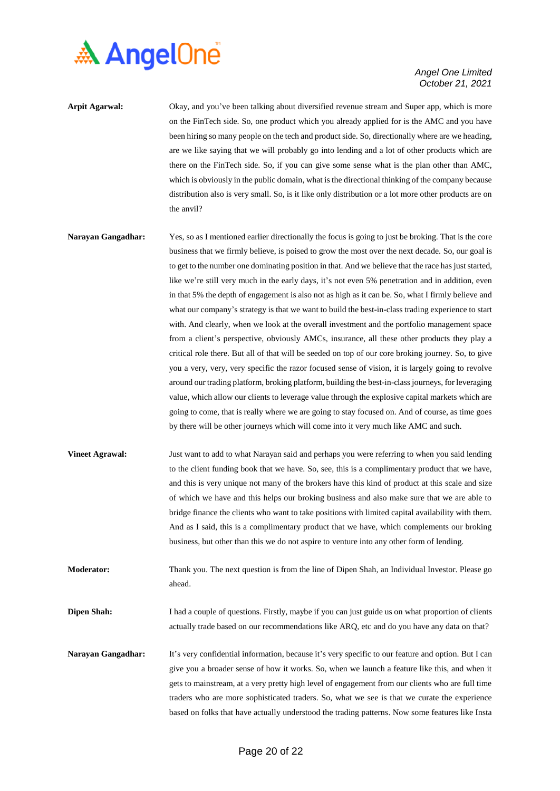

- **Arpit Agarwal:** Okay, and you've been talking about diversified revenue stream and Super app, which is more on the FinTech side. So, one product which you already applied for is the AMC and you have been hiring so many people on the tech and product side. So, directionally where are we heading, are we like saying that we will probably go into lending and a lot of other products which are there on the FinTech side. So, if you can give some sense what is the plan other than AMC, which is obviously in the public domain, what is the directional thinking of the company because distribution also is very small. So, is it like only distribution or a lot more other products are on the anvil?
- **Narayan Gangadhar:** Yes, so as I mentioned earlier directionally the focus is going to just be broking. That is the core business that we firmly believe, is poised to grow the most over the next decade. So, our goal is to get to the number one dominating position in that. And we believe that the race has just started, like we're still very much in the early days, it's not even 5% penetration and in addition, even in that 5% the depth of engagement is also not as high as it can be. So, what I firmly believe and what our company's strategy is that we want to build the best-in-class trading experience to start with. And clearly, when we look at the overall investment and the portfolio management space from a client's perspective, obviously AMCs, insurance, all these other products they play a critical role there. But all of that will be seeded on top of our core broking journey. So, to give you a very, very, very specific the razor focused sense of vision, it is largely going to revolve around our trading platform, broking platform, building the best-in-classjourneys, for leveraging value, which allow our clients to leverage value through the explosive capital markets which are going to come, that is really where we are going to stay focused on. And of course, as time goes by there will be other journeys which will come into it very much like AMC and such.
- **Vineet Agrawal:** Just want to add to what Narayan said and perhaps you were referring to when you said lending to the client funding book that we have. So, see, this is a complimentary product that we have, and this is very unique not many of the brokers have this kind of product at this scale and size of which we have and this helps our broking business and also make sure that we are able to bridge finance the clients who want to take positions with limited capital availability with them. And as I said, this is a complimentary product that we have, which complements our broking business, but other than this we do not aspire to venture into any other form of lending.
- **Moderator:** Thank you. The next question is from the line of Dipen Shah, an Individual Investor. Please go ahead.
- **Dipen Shah:** I had a couple of questions. Firstly, maybe if you can just guide us on what proportion of clients actually trade based on our recommendations like ARQ, etc and do you have any data on that?
- **Narayan Gangadhar:** It's very confidential information, because it's very specific to our feature and option. But I can give you a broader sense of how it works. So, when we launch a feature like this, and when it gets to mainstream, at a very pretty high level of engagement from our clients who are full time traders who are more sophisticated traders. So, what we see is that we curate the experience based on folks that have actually understood the trading patterns. Now some features like Insta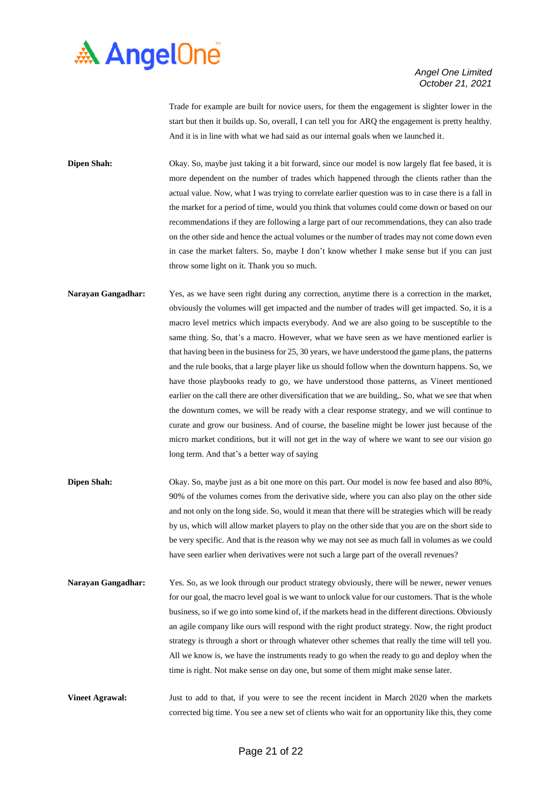

Trade for example are built for novice users, for them the engagement is slighter lower in the start but then it builds up. So, overall, I can tell you for ARQ the engagement is pretty healthy. And it is in line with what we had said as our internal goals when we launched it.

**Dipen Shah:** Okay. So, maybe just taking it a bit forward, since our model is now largely flat fee based, it is more dependent on the number of trades which happened through the clients rather than the actual value. Now, what I was trying to correlate earlier question was to in case there is a fall in the market for a period of time, would you think that volumes could come down or based on our recommendations if they are following a large part of our recommendations, they can also trade on the other side and hence the actual volumes or the number of trades may not come down even in case the market falters. So, maybe I don't know whether I make sense but if you can just throw some light on it. Thank you so much.

- **Narayan Gangadhar:** Yes, as we have seen right during any correction, anytime there is a correction in the market, obviously the volumes will get impacted and the number of trades will get impacted. So, it is a macro level metrics which impacts everybody. And we are also going to be susceptible to the same thing. So, that's a macro. However, what we have seen as we have mentioned earlier is that having been in the business for 25, 30 years, we have understood the game plans, the patterns and the rule books, that a large player like us should follow when the downturn happens. So, we have those playbooks ready to go, we have understood those patterns, as Vineet mentioned earlier on the call there are other diversification that we are building,. So, what we see that when the downturn comes, we will be ready with a clear response strategy, and we will continue to curate and grow our business. And of course, the baseline might be lower just because of the micro market conditions, but it will not get in the way of where we want to see our vision go long term. And that's a better way of saying
- **Dipen Shah:** Okay. So, maybe just as a bit one more on this part. Our model is now fee based and also 80%, 90% of the volumes comes from the derivative side, where you can also play on the other side and not only on the long side. So, would it mean that there will be strategies which will be ready by us, which will allow market players to play on the other side that you are on the short side to be very specific. And that is the reason why we may not see as much fall in volumes as we could have seen earlier when derivatives were not such a large part of the overall revenues?
- **Narayan Gangadhar:** Yes. So, as we look through our product strategy obviously, there will be newer, newer venues for our goal, the macro level goal is we want to unlock value for our customers. That is the whole business, so if we go into some kind of, if the markets head in the different directions. Obviously an agile company like ours will respond with the right product strategy. Now, the right product strategy is through a short or through whatever other schemes that really the time will tell you. All we know is, we have the instruments ready to go when the ready to go and deploy when the time is right. Not make sense on day one, but some of them might make sense later.

**Vineet Agrawal:** Just to add to that, if you were to see the recent incident in March 2020 when the markets corrected big time. You see a new set of clients who wait for an opportunity like this, they come